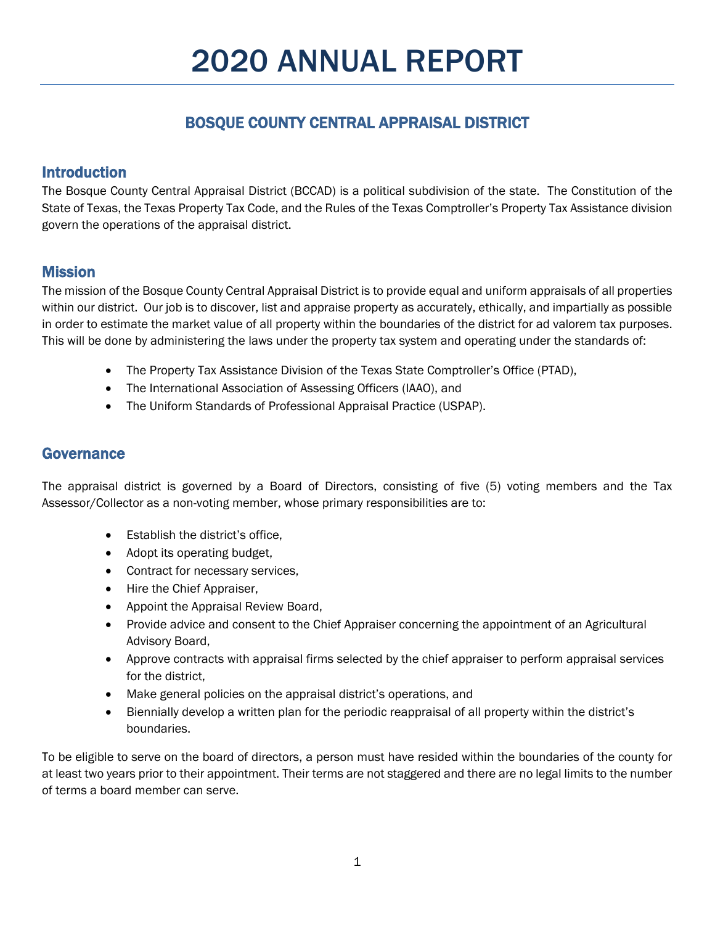# BOSQUE COUNTY CENTRAL APPRAISAL DISTRICT

# Introduction

The Bosque County Central Appraisal District (BCCAD) is a political subdivision of the state. The Constitution of the State of Texas, the Texas Property Tax Code, and the Rules of the Texas Comptroller's Property Tax Assistance division govern the operations of the appraisal district.

# **Mission**

The mission of the Bosque County Central Appraisal District is to provide equal and uniform appraisals of all properties within our district. Our job is to discover, list and appraise property as accurately, ethically, and impartially as possible in order to estimate the market value of all property within the boundaries of the district for ad valorem tax purposes. This will be done by administering the laws under the property tax system and operating under the standards of:

- The Property Tax Assistance Division of the Texas State Comptroller's Office (PTAD),
- The International Association of Assessing Officers (IAAO), and
- The Uniform Standards of Professional Appraisal Practice (USPAP).

# Governance

The appraisal district is governed by a Board of Directors, consisting of five (5) voting members and the Tax Assessor/Collector as a non-voting member, whose primary responsibilities are to:

- Establish the district's office,
- Adopt its operating budget,
- Contract for necessary services,
- Hire the Chief Appraiser,
- Appoint the Appraisal Review Board,
- Provide advice and consent to the Chief Appraiser concerning the appointment of an Agricultural Advisory Board,
- Approve contracts with appraisal firms selected by the chief appraiser to perform appraisal services for the district,
- Make general policies on the appraisal district's operations, and
- Biennially develop a written plan for the periodic reappraisal of all property within the district's boundaries.

To be eligible to serve on the board of directors, a person must have resided within the boundaries of the county for at least two years prior to their appointment. Their terms are not staggered and there are no legal limits to the number of terms a board member can serve.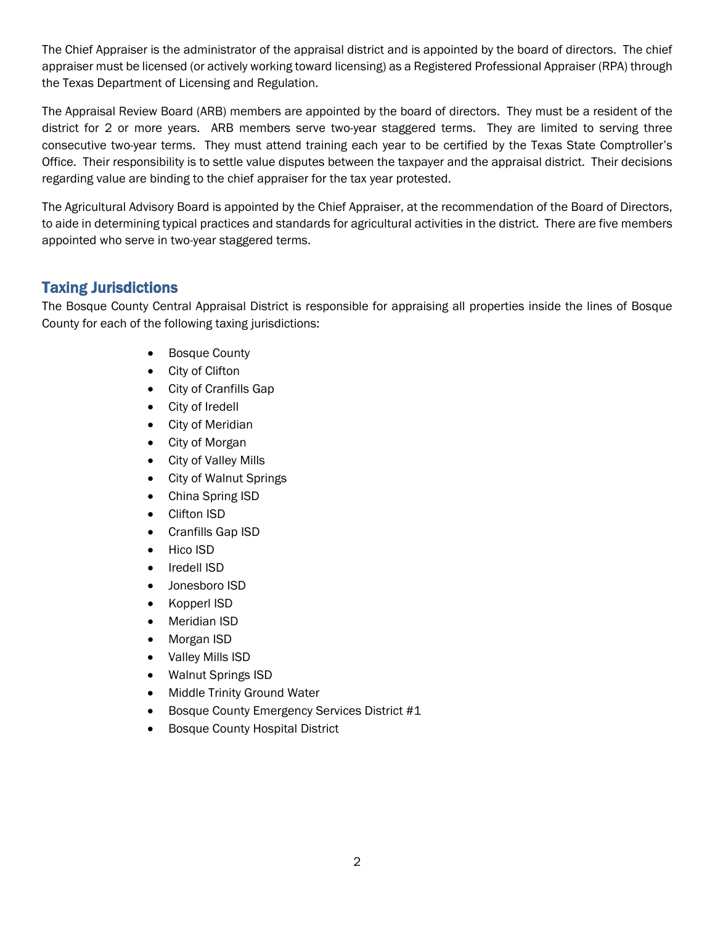The Chief Appraiser is the administrator of the appraisal district and is appointed by the board of directors. The chief appraiser must be licensed (or actively working toward licensing) as a Registered Professional Appraiser (RPA) through the Texas Department of Licensing and Regulation.

The Appraisal Review Board (ARB) members are appointed by the board of directors. They must be a resident of the district for 2 or more years. ARB members serve two-year staggered terms. They are limited to serving three consecutive two-year terms. They must attend training each year to be certified by the Texas State Comptroller's Office. Their responsibility is to settle value disputes between the taxpayer and the appraisal district. Their decisions regarding value are binding to the chief appraiser for the tax year protested.

The Agricultural Advisory Board is appointed by the Chief Appraiser, at the recommendation of the Board of Directors, to aide in determining typical practices and standards for agricultural activities in the district. There are five members appointed who serve in two-year staggered terms.

# Taxing Jurisdictions

The Bosque County Central Appraisal District is responsible for appraising all properties inside the lines of Bosque County for each of the following taxing jurisdictions:

- Bosque County
- City of Clifton
- City of Cranfills Gap
- City of Iredell
- City of Meridian
- City of Morgan
- City of Valley Mills
- City of Walnut Springs
- China Spring ISD
- Clifton ISD
- Cranfills Gap ISD
- Hico ISD
- Iredell ISD
- Jonesboro ISD
- Kopperl ISD
- Meridian ISD
- Morgan ISD
- Valley Mills ISD
- Walnut Springs ISD
- Middle Trinity Ground Water
- Bosque County Emergency Services District #1
- Bosque County Hospital District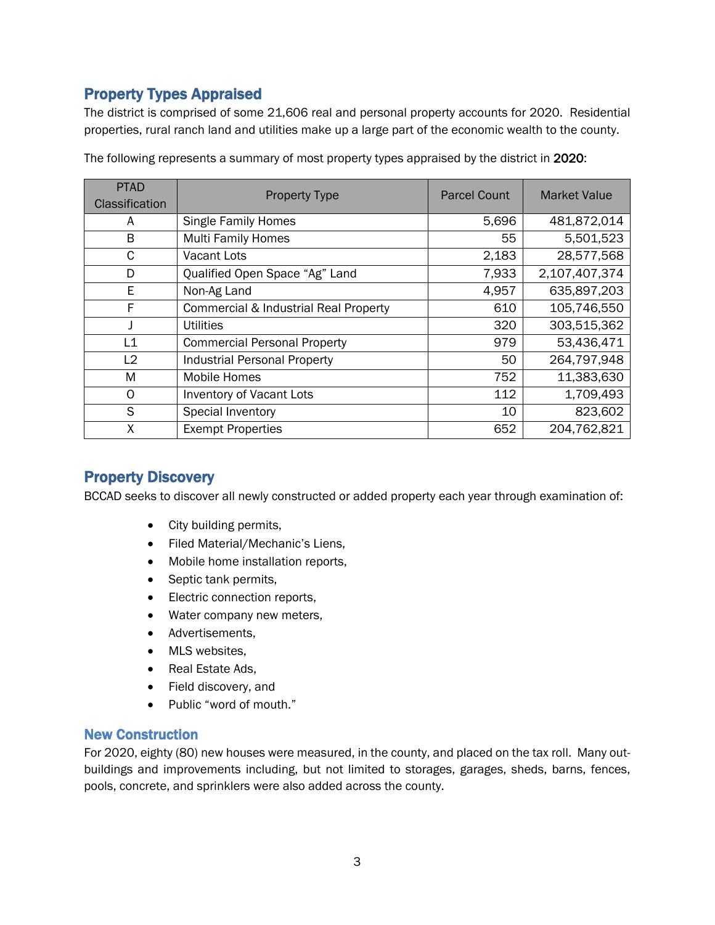# Property Types Appraised

The district is comprised of some 21,606 real and personal property accounts for 2020. Residential properties, rural ranch land and utilities make up a large part of the economic wealth to the county.

| <b>PTAD</b><br>Classification | <b>Property Type</b>                  | <b>Parcel Count</b> | <b>Market Value</b> |
|-------------------------------|---------------------------------------|---------------------|---------------------|
| A                             | <b>Single Family Homes</b>            | 5,696               | 481,872,014         |
| B                             | <b>Multi Family Homes</b>             | 55                  | 5,501,523           |
| C                             | <b>Vacant Lots</b>                    | 2,183               | 28,577,568          |
| D                             | Qualified Open Space "Ag" Land        | 7,933               | 2,107,407,374       |
| E                             | Non-Ag Land                           | 4,957               | 635,897,203         |
| F                             | Commercial & Industrial Real Property | 610                 | 105,746,550         |
|                               | <b>Utilities</b>                      | 320                 | 303,515,362         |
| L1                            | <b>Commercial Personal Property</b>   | 979                 | 53,436,471          |
| L2                            | <b>Industrial Personal Property</b>   | 50                  | 264,797,948         |
| M                             | <b>Mobile Homes</b>                   | 752                 | 11,383,630          |
| O                             | Inventory of Vacant Lots              | 112                 | 1,709,493           |
| S                             | Special Inventory                     | 10                  | 823,602             |
| X                             | <b>Exempt Properties</b>              | 652                 | 204,762,821         |

The following represents a summary of most property types appraised by the district in 2020:

# Property Discovery

BCCAD seeks to discover all newly constructed or added property each year through examination of:

- City building permits,
- Filed Material/Mechanic's Liens,
- Mobile home installation reports,
- Septic tank permits,
- Electric connection reports,
- Water company new meters,
- Advertisements,
- MLS websites,
- Real Estate Ads,
- Field discovery, and
- Public "word of mouth."

#### New Construction

For 2020, eighty (80) new houses were measured, in the county, and placed on the tax roll. Many outbuildings and improvements including, but not limited to storages, garages, sheds, barns, fences, pools, concrete, and sprinklers were also added across the county.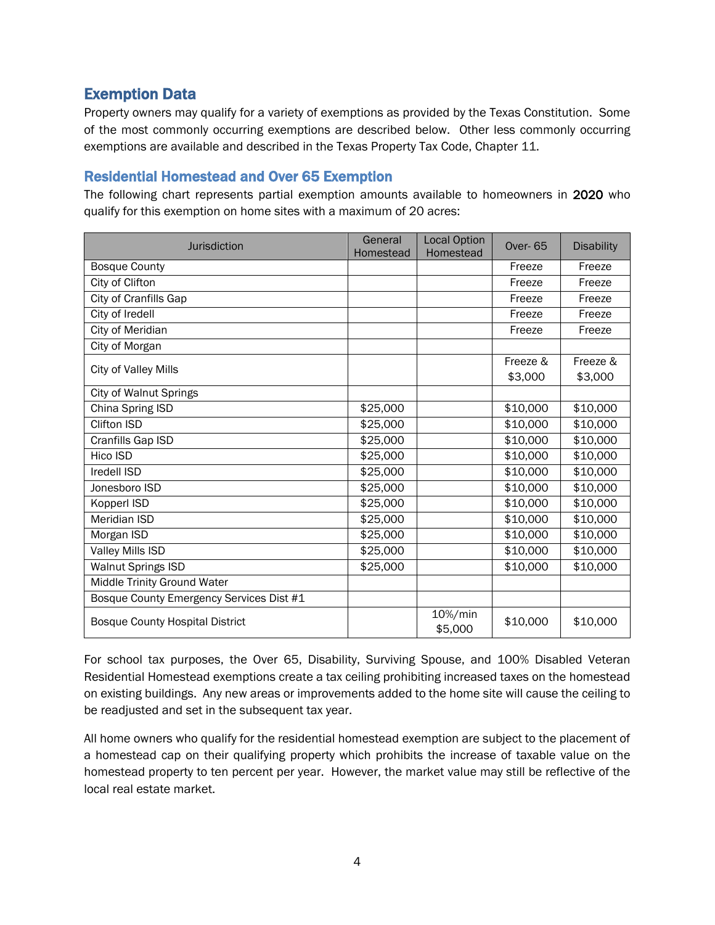# Exemption Data

Property owners may qualify for a variety of exemptions as provided by the Texas Constitution. Some of the most commonly occurring exemptions are described below. Other less commonly occurring exemptions are available and described in the Texas Property Tax Code, Chapter 11.

#### Residential Homestead and Over 65 Exemption

The following chart represents partial exemption amounts available to homeowners in 2020 who qualify for this exemption on home sites with a maximum of 20 acres:

| <b>Jurisdiction</b>                      | General<br>Homestead | <b>Local Option</b><br>Homestead | <b>Over-65</b> | <b>Disability</b> |
|------------------------------------------|----------------------|----------------------------------|----------------|-------------------|
| <b>Bosque County</b>                     |                      |                                  | Freeze         | Freeze            |
| City of Clifton                          |                      |                                  | Freeze         | Freeze            |
| City of Cranfills Gap                    |                      |                                  | Freeze         | Freeze            |
| City of Iredell                          |                      |                                  | Freeze         | Freeze            |
| City of Meridian                         |                      |                                  | Freeze         | Freeze            |
| City of Morgan                           |                      |                                  |                |                   |
| City of Valley Mills                     |                      |                                  | Freeze &       | Freeze &          |
|                                          |                      |                                  | \$3,000        | \$3,000           |
| <b>City of Walnut Springs</b>            |                      |                                  |                |                   |
| China Spring ISD                         | \$25,000             |                                  | \$10,000       | \$10,000          |
| <b>Clifton ISD</b>                       | \$25,000             |                                  | \$10,000       | \$10,000          |
| Cranfills Gap ISD                        | \$25,000             |                                  | \$10,000       | \$10,000          |
| Hico ISD                                 | \$25,000             |                                  | \$10,000       | \$10,000          |
| Iredell ISD                              | \$25,000             |                                  | \$10,000       | \$10,000          |
| Jonesboro ISD                            | \$25,000             |                                  | \$10,000       | \$10,000          |
| Kopperl ISD                              | \$25,000             |                                  | \$10,000       | \$10,000          |
| <b>Meridian ISD</b>                      | \$25,000             |                                  | \$10,000       | \$10,000          |
| Morgan ISD                               | \$25,000             |                                  | \$10,000       | \$10,000          |
| Valley Mills ISD                         | \$25,000             |                                  | \$10,000       | \$10,000          |
| <b>Walnut Springs ISD</b>                | \$25,000             |                                  | \$10,000       | \$10,000          |
| Middle Trinity Ground Water              |                      |                                  |                |                   |
| Bosque County Emergency Services Dist #1 |                      |                                  |                |                   |
| <b>Bosque County Hospital District</b>   |                      | 10%/min<br>\$5,000               | \$10,000       | \$10,000          |

For school tax purposes, the Over 65, Disability, Surviving Spouse, and 100% Disabled Veteran Residential Homestead exemptions create a tax ceiling prohibiting increased taxes on the homestead on existing buildings. Any new areas or improvements added to the home site will cause the ceiling to be readjusted and set in the subsequent tax year.

All home owners who qualify for the residential homestead exemption are subject to the placement of a homestead cap on their qualifying property which prohibits the increase of taxable value on the homestead property to ten percent per year. However, the market value may still be reflective of the local real estate market.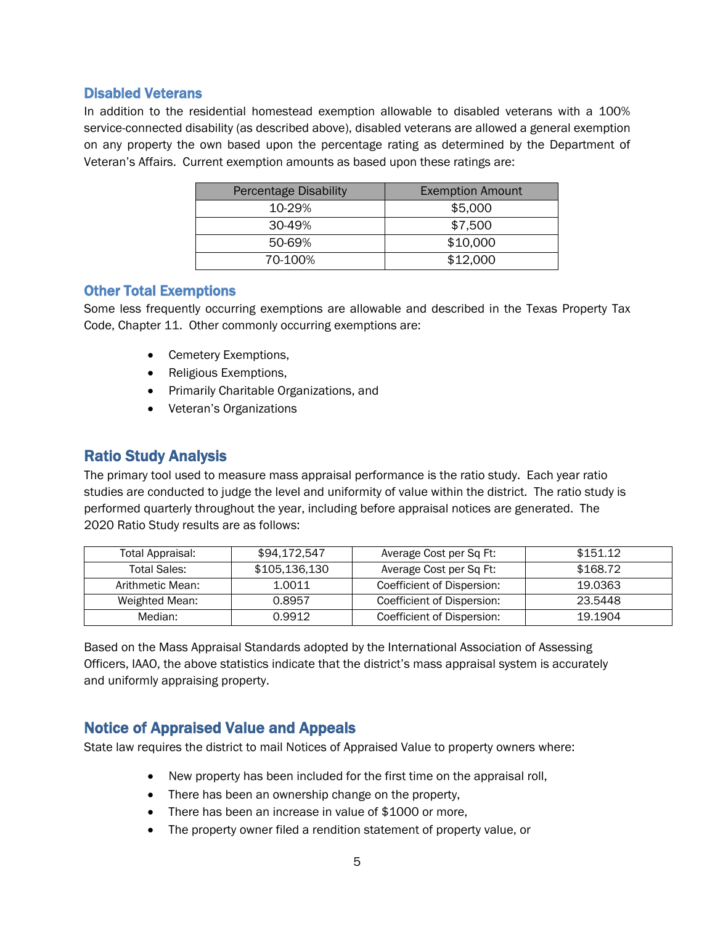#### Disabled Veterans

In addition to the residential homestead exemption allowable to disabled veterans with a 100% service-connected disability (as described above), disabled veterans are allowed a general exemption on any property the own based upon the percentage rating as determined by the Department of Veteran's Affairs. Current exemption amounts as based upon these ratings are:

| <b>Percentage Disability</b> | <b>Exemption Amount</b> |  |  |
|------------------------------|-------------------------|--|--|
| 10-29%                       | \$5,000                 |  |  |
| 30-49%                       | \$7,500                 |  |  |
| 50-69%                       | \$10,000                |  |  |
| 70-100%                      | \$12,000                |  |  |

#### Other Total Exemptions

Some less frequently occurring exemptions are allowable and described in the Texas Property Tax Code, Chapter 11. Other commonly occurring exemptions are:

- Cemetery Exemptions,
- Religious Exemptions,
- Primarily Charitable Organizations, and
- Veteran's Organizations

### Ratio Study Analysis

The primary tool used to measure mass appraisal performance is the ratio study. Each year ratio studies are conducted to judge the level and uniformity of value within the district. The ratio study is performed quarterly throughout the year, including before appraisal notices are generated. The 2020 Ratio Study results are as follows:

| Total Appraisal:    | \$94.172.547  | Average Cost per Sq Ft:    | \$151.12 |
|---------------------|---------------|----------------------------|----------|
| <b>Total Sales:</b> | \$105.136.130 | Average Cost per Sq Ft:    | \$168.72 |
| Arithmetic Mean:    | 1.0011        | Coefficient of Dispersion: | 19.0363  |
| Weighted Mean:      | 0.8957        | Coefficient of Dispersion: | 23.5448  |
| Median:             | 0.9912        | Coefficient of Dispersion: | 19.1904  |

Based on the Mass Appraisal Standards adopted by the International Association of Assessing Officers, IAAO, the above statistics indicate that the district's mass appraisal system is accurately and uniformly appraising property.

### Notice of Appraised Value and Appeals

State law requires the district to mail Notices of Appraised Value to property owners where:

- New property has been included for the first time on the appraisal roll,
- There has been an ownership change on the property,
- There has been an increase in value of \$1000 or more,
- The property owner filed a rendition statement of property value, or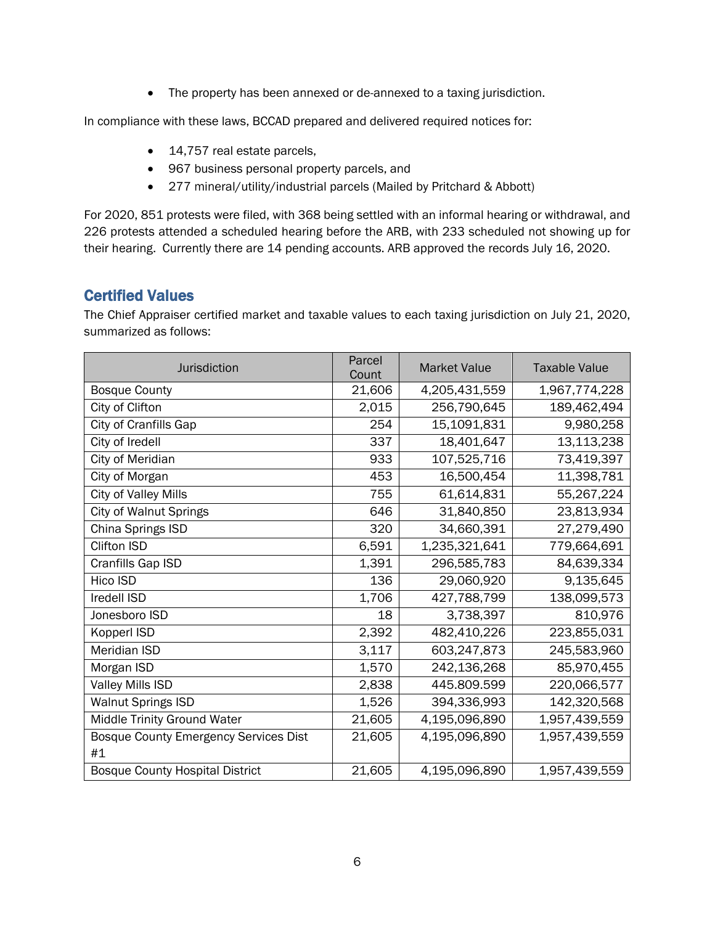• The property has been annexed or de-annexed to a taxing jurisdiction.

In compliance with these laws, BCCAD prepared and delivered required notices for:

- 14,757 real estate parcels,
- 967 business personal property parcels, and
- 277 mineral/utility/industrial parcels (Mailed by Pritchard & Abbott)

For 2020, 851 protests were filed, with 368 being settled with an informal hearing or withdrawal, and 226 protests attended a scheduled hearing before the ARB, with 233 scheduled not showing up for their hearing. Currently there are 14 pending accounts. ARB approved the records July 16, 2020.

# Certified Values

The Chief Appraiser certified market and taxable values to each taxing jurisdiction on July 21, 2020, summarized as follows:

| Jurisdiction                           | Parcel<br>Count | <b>Market Value</b> | <b>Taxable Value</b> |  |
|----------------------------------------|-----------------|---------------------|----------------------|--|
| <b>Bosque County</b>                   | 21,606          | 4,205,431,559       | 1,967,774,228        |  |
| City of Clifton                        | 2,015           | 256,790,645         | 189,462,494          |  |
| City of Cranfills Gap                  | 254             | 15,1091,831         | 9,980,258            |  |
| City of Iredell                        | 337             | 18,401,647          | 13,113,238           |  |
| City of Meridian                       | 933             | 107,525,716         | 73,419,397           |  |
| City of Morgan                         | 453             | 16,500,454          | 11,398,781           |  |
| City of Valley Mills                   | 755             | 61,614,831          | 55,267,224           |  |
| City of Walnut Springs                 | 646             | 31,840,850          | 23,813,934           |  |
| China Springs ISD                      | 320             | 34,660,391          | 27,279,490           |  |
| Clifton ISD                            | 6,591           | 1,235,321,641       | 779,664,691          |  |
| Cranfills Gap ISD                      | 1,391           | 296,585,783         | 84,639,334           |  |
| Hico ISD                               | 136             | 29,060,920          | 9,135,645            |  |
| Iredell ISD                            | 1,706           | 427,788,799         | 138,099,573          |  |
| Jonesboro ISD                          | 18              | 3,738,397           | 810,976              |  |
| Kopperl ISD                            | 2,392           | 482,410,226         | 223,855,031          |  |
| Meridian ISD                           | 3,117           | 603,247,873         | 245,583,960          |  |
| Morgan ISD                             | 1,570           | 242,136,268         | 85,970,455           |  |
| Valley Mills ISD                       | 2,838           | 445.809.599         | 220,066,577          |  |
| <b>Walnut Springs ISD</b>              | 1,526           | 394,336,993         | 142,320,568          |  |
| Middle Trinity Ground Water            | 21,605          | 4,195,096,890       | 1,957,439,559        |  |
| Bosque County Emergency Services Dist  | 21,605          | 4,195,096,890       | 1,957,439,559        |  |
| #1                                     |                 |                     |                      |  |
| <b>Bosque County Hospital District</b> | 21,605          | 4,195,096,890       | 1,957,439,559        |  |